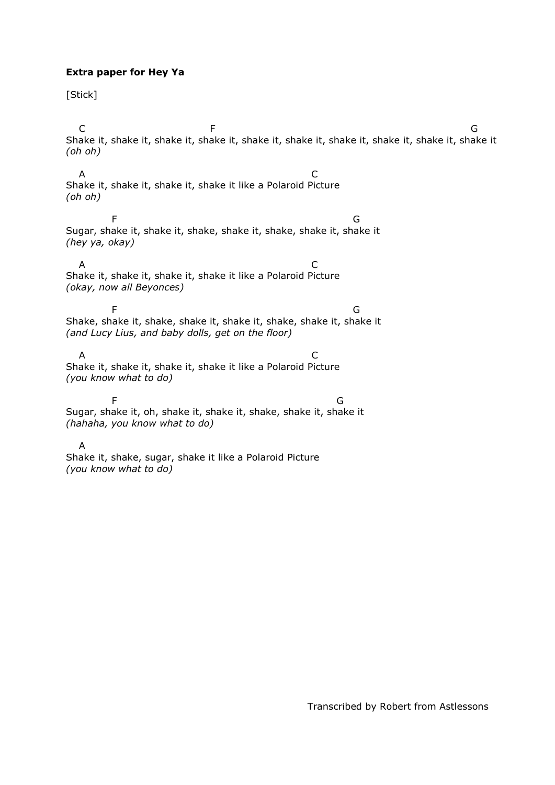## **Extra paper for Hey Ya**

[Stick]

C F G Shake it, shake it, shake it, shake it, shake it, shake it, shake it, shake it, shake it, shake it *(oh oh)* A C Shake it, shake it, shake it, shake it like a Polaroid Picture *(oh oh)* entity of the state of the state of the state of the state of the state of the state of the state of the state of the state of the state of the state of the state of the state of the state of the state of the state of the Sugar, shake it, shake it, shake, shake it, shake, shake it, shake it *(hey ya, okay)* A C Shake it, shake it, shake it, shake it like a Polaroid Picture *(okay, now all Beyonces)* entity of the state of the state of the state of the state of the state of the state of the state of the state of the state of the state of the state of the state of the state of the state of the state of the state of the Shake, shake it, shake, shake it, shake it, shake, shake it, shake it *(and Lucy Lius, and baby dolls, get on the floor)* A C Shake it, shake it, shake it, shake it like a Polaroid Picture *(you know what to do)* entity of the contract of the contract of the contract of the contract of the contract of the contract of the contract of the contract of the contract of the contract of the contract of the contract of the contract of the Sugar, shake it, oh, shake it, shake it, shake, shake it, shake it *(hahaha, you know what to do)* A Shake it, shake, sugar, shake it like a Polaroid Picture *(you know what to do)*